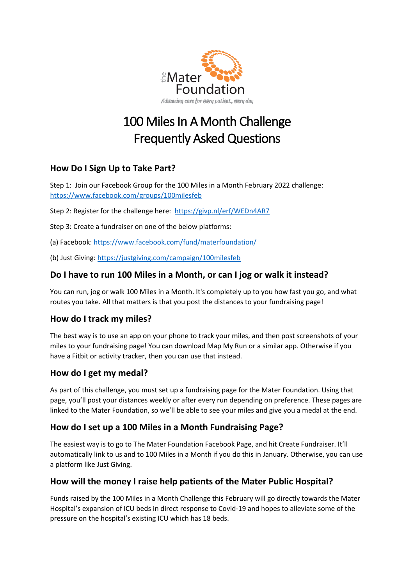

# 100 Miles In A Month Challenge Frequently Asked Questions

## **How Do I Sign Up to Take Part?**

Step 1: Join our Facebook Group for the 100 Miles in a Month February 2022 challenge: <https://www.facebook.com/groups/100milesfeb>

Step 2: Register for the challenge here: <https://givp.nl/erf/WEDn4AR7>

Step 3: Create a fundraiser on one of the below platforms:

(a) Facebook[: https://www.facebook.com/fund/materfoundation/](https://www.facebook.com/fund/materfoundation/)

(b) Just Giving:<https://justgiving.com/campaign/100milesfeb>

#### **Do I have to run 100 Miles in a Month, or can I jog or walk it instead?**

You can run, jog or walk 100 Miles in a Month. It's completely up to you how fast you go, and what routes you take. All that matters is that you post the distances to your fundraising page!

#### **How do I track my miles?**

The best way is to use an app on your phone to track your miles, and then post screenshots of your miles to your fundraising page! You can download Map My Run or a similar app. Otherwise if you have a Fitbit or activity tracker, then you can use that instead.

#### **How do I get my medal?**

As part of this challenge, you must set up a fundraising page for the Mater Foundation. Using that page, you'll post your distances weekly or after every run depending on preference. These pages are linked to the Mater Foundation, so we'll be able to see your miles and give you a medal at the end.

#### **How do I set up a 100 Miles in a Month Fundraising Page?**

The easiest way is to go to The Mater Foundation Facebook Page, and hit Create Fundraiser. It'll automatically link to us and to 100 Miles in a Month if you do this in January. Otherwise, you can use a platform like Just Giving.

### **How will the money I raise help patients of the Mater Public Hospital?**

Funds raised by the 100 Miles in a Month Challenge this February will go directly towards the Mater Hospital's expansion of ICU beds in direct response to Covid-19 and hopes to alleviate some of the pressure on the hospital's existing ICU which has 18 beds.